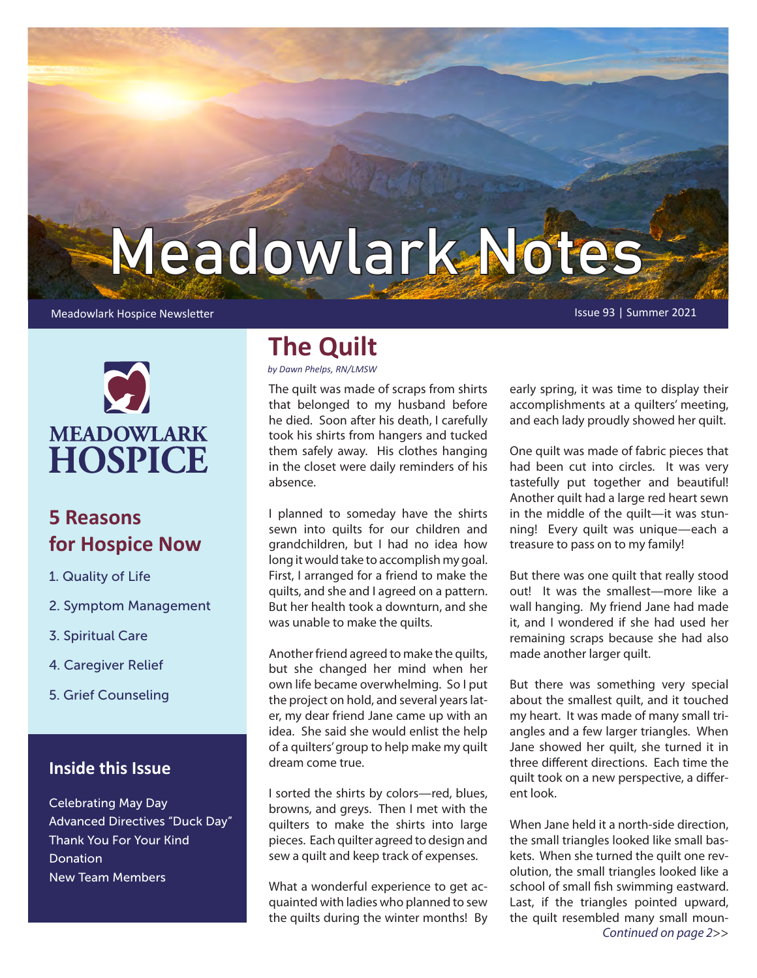# Meadowlark Notes

#### Meadowlark Hospice Newsletter **Issue 93 | Summer 2021** Newsletter Issue 93 | Summer 2021

**MEADOWLARK HOSPICE** 

## **5 Reasons for Hospice Now**

- 1. Quality of Life
- 2. Symptom Management
- 3. Spiritual Care
- 4. Caregiver Relief
- 5. Grief Counseling

## **Inside this Issue**

Celebrating May Day Advanced Directives "Duck Day" Thank You For Your Kind Donation New Team Members

## **The Quilt**

*by Dawn Phelps, RN/LMSW*

The quilt was made of scraps from shirts that belonged to my husband before he died. Soon after his death, I carefully took his shirts from hangers and tucked them safely away. His clothes hanging in the closet were daily reminders of his absence.

I planned to someday have the shirts sewn into quilts for our children and grandchildren, but I had no idea how long it would take to accomplish my goal. First, I arranged for a friend to make the quilts, and she and I agreed on a pattern. But her health took a downturn, and she was unable to make the quilts.

Another friend agreed to make the quilts, but she changed her mind when her own life became overwhelming. So I put the project on hold, and several years later, my dear friend Jane came up with an idea. She said she would enlist the help of a quilters' group to help make my quilt dream come true.

I sorted the shirts by colors—red, blues, browns, and greys. Then I met with the quilters to make the shirts into large pieces. Each quilter agreed to design and sew a quilt and keep track of expenses.

What a wonderful experience to get acquainted with ladies who planned to sew the quilts during the winter months! By

early spring, it was time to display their accomplishments at a quilters' meeting, and each lady proudly showed her quilt.

One quilt was made of fabric pieces that had been cut into circles. It was very tastefully put together and beautiful! Another quilt had a large red heart sewn in the middle of the quilt—it was stunning! Every quilt was unique—each a treasure to pass on to my family!

But there was one quilt that really stood out! It was the smallest—more like a wall hanging. My friend Jane had made it, and I wondered if she had used her remaining scraps because she had also made another larger quilt.

But there was something very special about the smallest quilt, and it touched my heart. It was made of many small triangles and a few larger triangles. When Jane showed her quilt, she turned it in three different directions. Each time the quilt took on a new perspective, a different look.

When Jane held it a north-side direction, the small triangles looked like small baskets. When she turned the quilt one revolution, the small triangles looked like a school of small fish swimming eastward. Last, if the triangles pointed upward, the quilt resembled many small moun-*Continued on page 2*>>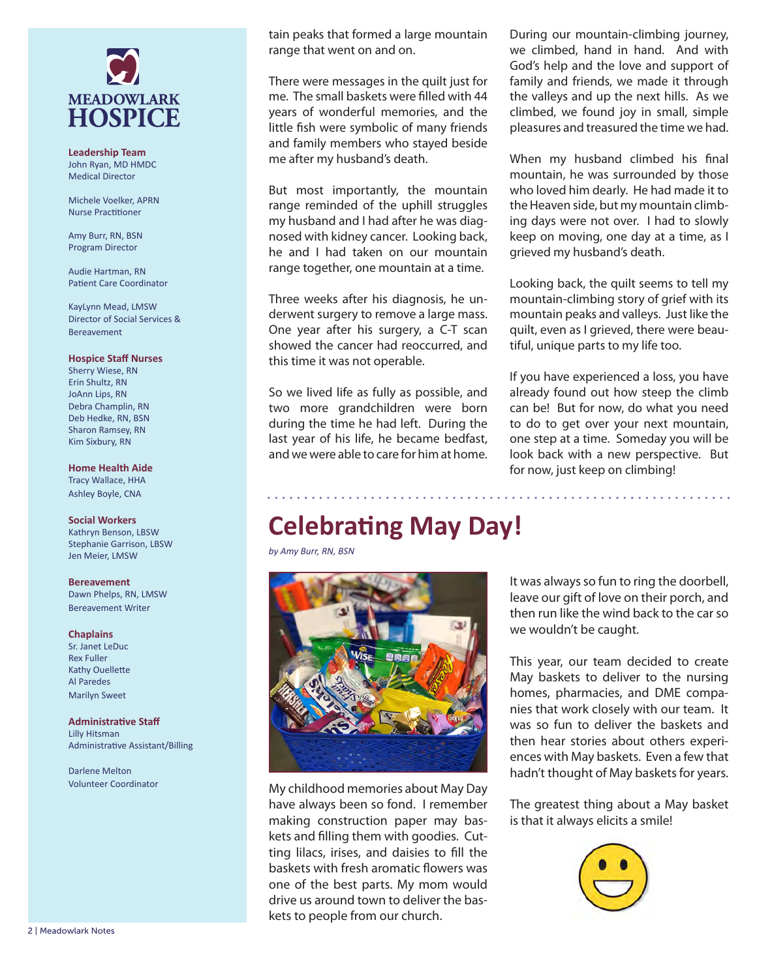

**Leadership Team** John Ryan, MD HMDC Medical Director

Michele Voelker, APRN Nurse Practitioner

Amy Burr, RN, BSN Program Director

Audie Hartman, RN Patient Care Coordinator

KayLynn Mead, LMSW Director of Social Services & Bereavement

#### **Hospice Staff Nurses**

Sherry Wiese, RN Erin Shultz, RN JoAnn Lips, RN Debra Champlin, RN Deb Hedke, RN, BSN Sharon Ramsey, RN Kim Sixbury, RN

**Home Health Aide** Tracy Wallace, HHA Ashley Boyle, CNA

#### **Social Workers**

Kathryn Benson, LBSW Stephanie Garrison, LBSW Jen Meier, LMSW

**Bereavement** Dawn Phelps, RN, LMSW Bereavement Writer

**Chaplains**

Sr. Janet LeDuc Rex Fuller Kathy Ouellette Al Paredes Marilyn Sweet

**Administrative Staff** Lilly Hitsman Administrative Assistant/Billing

Darlene Melton

tain peaks that formed a large mountain range that went on and on.

There were messages in the quilt just for me. The small baskets were filled with 44 years of wonderful memories, and the little fish were symbolic of many friends and family members who stayed beside me after my husband's death.

But most importantly, the mountain range reminded of the uphill struggles my husband and I had after he was diagnosed with kidney cancer. Looking back, he and I had taken on our mountain range together, one mountain at a time.

Three weeks after his diagnosis, he underwent surgery to remove a large mass. One year after his surgery, a C-T scan showed the cancer had reoccurred, and this time it was not operable.

So we lived life as fully as possible, and two more grandchildren were born during the time he had left. During the last year of his life, he became bedfast, and we were able to care for him at home. During our mountain-climbing journey, we climbed, hand in hand. And with God's help and the love and support of family and friends, we made it through the valleys and up the next hills. As we climbed, we found joy in small, simple pleasures and treasured the time we had.

When my husband climbed his final mountain, he was surrounded by those who loved him dearly. He had made it to the Heaven side, but my mountain climbing days were not over. I had to slowly keep on moving, one day at a time, as I grieved my husband's death.

Looking back, the quilt seems to tell my mountain-climbing story of grief with its mountain peaks and valleys. Just like the quilt, even as I grieved, there were beautiful, unique parts to my life too.

If you have experienced a loss, you have already found out how steep the climb can be! But for now, do what you need to do to get over your next mountain, one step at a time. Someday you will be look back with a new perspective. But for now, just keep on climbing!

# **Celebrating May Day!**

*by Amy Burr, RN, BSN*



Volunteer Coordinator My childhood memories about May Day have always been so fond. I remember making construction paper may baskets and filling them with goodies. Cutting lilacs, irises, and daisies to fill the baskets with fresh aromatic flowers was one of the best parts. My mom would drive us around town to deliver the baskets to people from our church.

It was always so fun to ring the doorbell, leave our gift of love on their porch, and then run like the wind back to the car so we wouldn't be caught.

This year, our team decided to create May baskets to deliver to the nursing homes, pharmacies, and DME companies that work closely with our team. It was so fun to deliver the baskets and then hear stories about others experiences with May baskets. Even a few that hadn't thought of May baskets for years.

The greatest thing about a May basket is that it always elicits a smile!

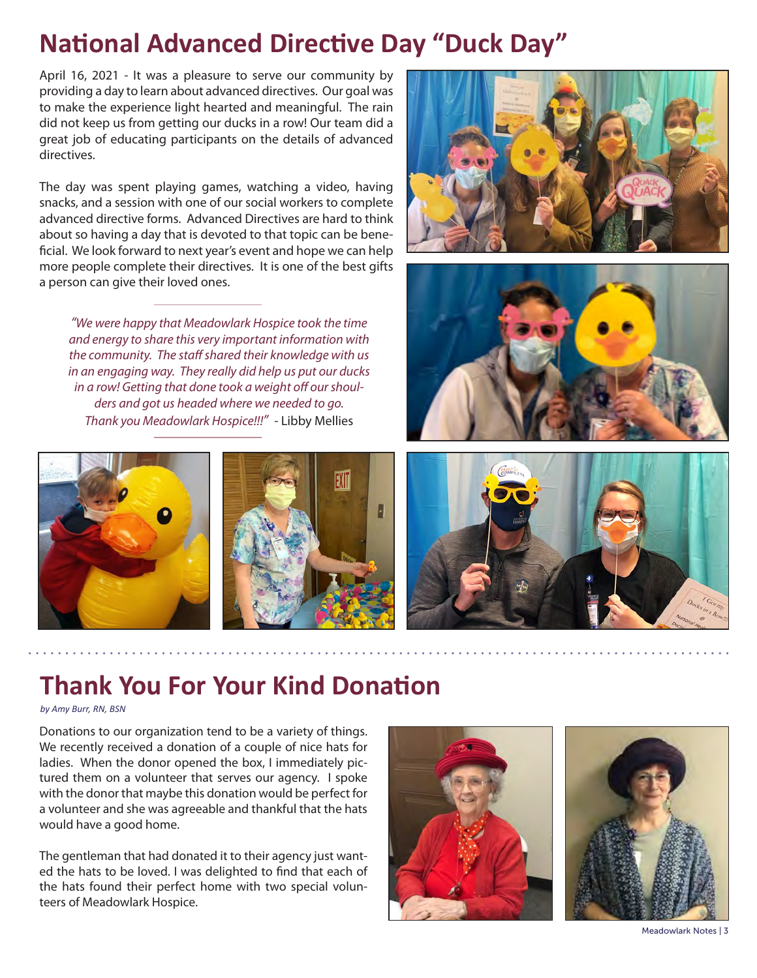# **National Advanced Directive Day "Duck Day"**

April 16, 2021 - It was a pleasure to serve our community by providing a day to learn about advanced directives. Our goal was to make the experience light hearted and meaningful. The rain did not keep us from getting our ducks in a row! Our team did a great job of educating participants on the details of advanced directives.

The day was spent playing games, watching a video, having snacks, and a session with one of our social workers to complete advanced directive forms. Advanced Directives are hard to think about so having a day that is devoted to that topic can be beneficial. We look forward to next year's event and hope we can help more people complete their directives. It is one of the best gifts a person can give their loved ones.

*"We were happy that Meadowlark Hospice took the time and energy to share this very important information with the community. The staff shared their knowledge with us in an engaging way. They really did help us put our ducks in a row! Getting that done took a weight off our shoulders and got us headed where we needed to go. Thank you Meadowlark Hospice!!!"* - Libby Mellies











## **Thank You For Your Kind Donation**

#### *by Amy Burr, RN, BSN*

Donations to our organization tend to be a variety of things. We recently received a donation of a couple of nice hats for ladies. When the donor opened the box, I immediately pictured them on a volunteer that serves our agency. I spoke with the donor that maybe this donation would be perfect for a volunteer and she was agreeable and thankful that the hats would have a good home.

The gentleman that had donated it to their agency just wanted the hats to be loved. I was delighted to find that each of the hats found their perfect home with two special volunteers of Meadowlark Hospice.





Meadowlark Notes | 3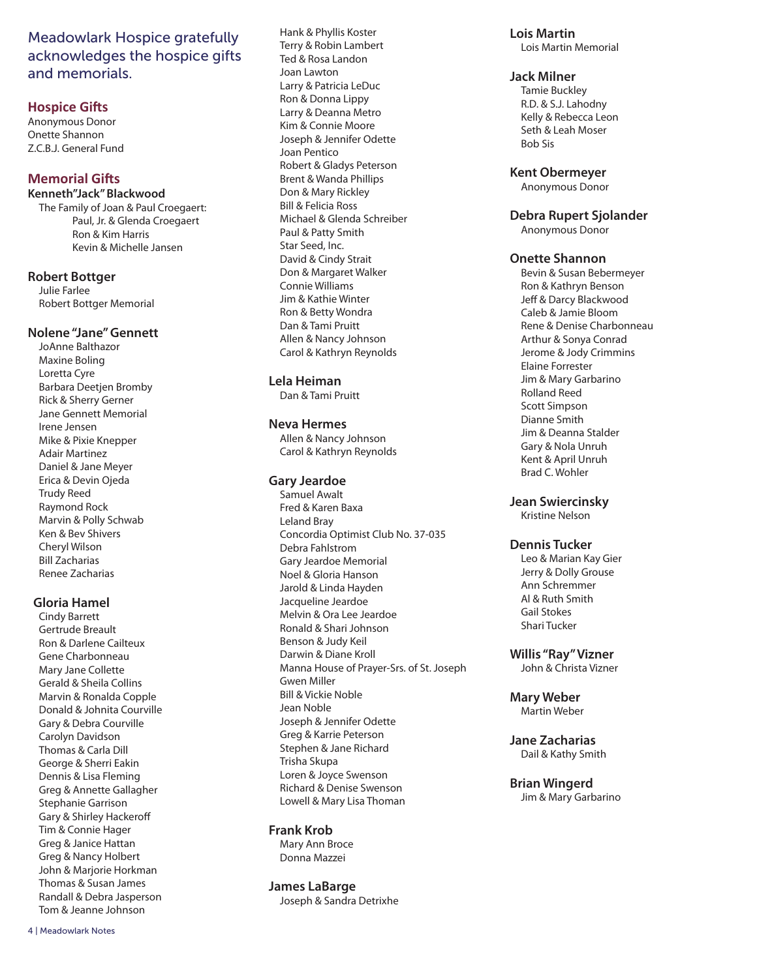## Meadowlark Hospice gratefully acknowledges the hospice gifts and memorials.

#### **Hospice Gifts**

Anonymous Donor Onette Shannon Z.C.B.J. General Fund

#### **Memorial Gifts**

#### **Kenneth"Jack" Blackwood**

The Family of Joan & Paul Croegaert: Paul, Jr. & Glenda Croegaert Ron & Kim Harris Kevin & Michelle Jansen

#### **Robert Bottger**

Julie Farlee Robert Bottger Memorial

#### **Nolene "Jane" Gennett**

JoAnne Balthazor Maxine Boling Loretta Cyre Barbara Deetjen Bromby Rick & Sherry Gerner Jane Gennett Memorial Irene Jensen Mike & Pixie Knepper Adair Martinez Daniel & Jane Meyer Erica & Devin Ojeda Trudy Reed Raymond Rock Marvin & Polly Schwab Ken & Bev Shivers Cheryl Wilson Bill Zacharias Renee Zacharias

#### **Gloria Hamel**

Cindy Barrett Gertrude Breault Ron & Darlene Cailteux Gene Charbonneau Mary Jane Collette Gerald & Sheila Collins Marvin & Ronalda Copple Donald & Johnita Courville Gary & Debra Courville Carolyn Davidson Thomas & Carla Dill George & Sherri Eakin Dennis & Lisa Fleming Greg & Annette Gallagher Stephanie Garrison Gary & Shirley Hackeroff Tim & Connie Hager Greg & Janice Hattan Greg & Nancy Holbert John & Marjorie Horkman Thomas & Susan James Randall & Debra Jasperson Tom & Jeanne Johnson

Hank & Phyllis Koster Terry & Robin Lambert Ted & Rosa Landon Joan Lawton Larry & Patricia LeDuc Ron & Donna Lippy Larry & Deanna Metro Kim & Connie Moore Joseph & Jennifer Odette Joan Pentico Robert & Gladys Peterson Brent & Wanda Phillips Don & Mary Rickley Bill & Felicia Ross Michael & Glenda Schreiber Paul & Patty Smith Star Seed, Inc. David & Cindy Strait Don & Margaret Walker Connie Williams Jim & Kathie Winter Ron & Betty Wondra Dan & Tami Pruitt Allen & Nancy Johnson Carol & Kathryn Reynolds

#### **Lela Heiman**

Dan & Tami Pruitt

#### **Neva Hermes**

Allen & Nancy Johnson Carol & Kathryn Reynolds

#### **Gary Jeardoe**

Samuel Awalt Fred & Karen Baxa Leland Bray Concordia Optimist Club No. 37-035 Debra Fahlstrom Gary Jeardoe Memorial Noel & Gloria Hanson Jarold & Linda Hayden Jacqueline Jeardoe Melvin & Ora Lee Jeardoe Ronald & Shari Johnson Benson & Judy Keil Darwin & Diane Kroll Manna House of Prayer-Srs. of St. Joseph Gwen Miller Bill & Vickie Noble Jean Noble Joseph & Jennifer Odette Greg & Karrie Peterson Stephen & Jane Richard Trisha Skupa Loren & Joyce Swenson Richard & Denise Swenson Lowell & Mary Lisa Thoman

#### **Frank Krob**

Mary Ann Broce Donna Mazzei

#### **James LaBarge**

Joseph & Sandra Detrixhe

**Lois Martin** Lois Martin Memorial

#### **Jack Milner**

Tamie Buckley R.D. & S.J. Lahodny Kelly & Rebecca Leon Seth & Leah Moser Bob Sis

#### **Kent Obermeyer**

Anonymous Donor

#### **Debra Rupert Sjolander**

Anonymous Donor

#### **Onette Shannon**

Bevin & Susan Bebermeyer Ron & Kathryn Benson Jeff & Darcy Blackwood Caleb & Jamie Bloom Rene & Denise Charbonneau Arthur & Sonya Conrad Jerome & Jody Crimmins Elaine Forrester Jim & Mary Garbarino Rolland Reed Scott Simpson Dianne Smith Jim & Deanna Stalder Gary & Nola Unruh Kent & April Unruh Brad C. Wohler

#### **Jean Swiercinsky**

Kristine Nelson

#### **Dennis Tucker**

Leo & Marian Kay Gier Jerry & Dolly Grouse Ann Schremmer Al & Ruth Smith Gail Stokes Shari Tucker

**Willis "Ray" Vizner** John & Christa Vizner

**Mary Weber** Martin Weber

**Jane Zacharias** Dail & Kathy Smith

**Brian Wingerd** Jim & Mary Garbarino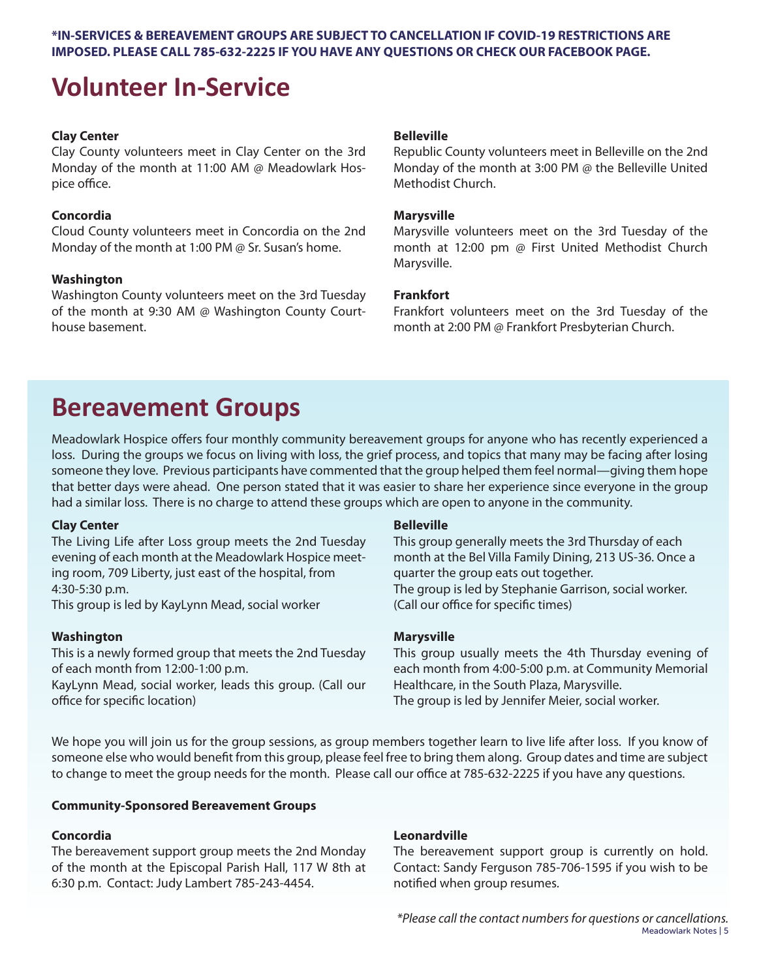#### **\*IN-SERVICES & BEREAVEMENT GROUPS ARE SUBJECT TO CANCELLATION IF COVID-19 RESTRICTIONS ARE IMPOSED. PLEASE CALL 785-632-2225 IF YOU HAVE ANY QUESTIONS OR CHECK OUR FACEBOOK PAGE.**

## **Volunteer In-Service**

#### **Clay Center**

Clay County volunteers meet in Clay Center on the 3rd Monday of the month at 11:00 AM @ Meadowlark Hospice office.

#### **Concordia**

Cloud County volunteers meet in Concordia on the 2nd Monday of the month at 1:00 PM @ Sr. Susan's home.

#### **Washington**

Washington County volunteers meet on the 3rd Tuesday of the month at 9:30 AM @ Washington County Courthouse basement.

#### **Belleville**

Republic County volunteers meet in Belleville on the 2nd Monday of the month at 3:00 PM @ the Belleville United Methodist Church.

#### **Marysville**

Marysville volunteers meet on the 3rd Tuesday of the month at 12:00 pm @ First United Methodist Church Marysville.

#### **Frankfort**

Frankfort volunteers meet on the 3rd Tuesday of the month at 2:00 PM @ Frankfort Presbyterian Church.

## **Bereavement Groups**

Meadowlark Hospice offers four monthly community bereavement groups for anyone who has recently experienced a loss. During the groups we focus on living with loss, the grief process, and topics that many may be facing after losing someone they love. Previous participants have commented that the group helped them feel normal—giving them hope that better days were ahead. One person stated that it was easier to share her experience since everyone in the group had a similar loss. There is no charge to attend these groups which are open to anyone in the community.

#### **Clay Center**

The Living Life after Loss group meets the 2nd Tuesday evening of each month at the Meadowlark Hospice meeting room, 709 Liberty, just east of the hospital, from 4:30-5:30 p.m.

This group is led by KayLynn Mead, social worker

#### **Washington**

This is a newly formed group that meets the 2nd Tuesday of each month from 12:00-1:00 p.m.

KayLynn Mead, social worker, leads this group. (Call our office for specific location)

#### **Belleville**

This group generally meets the 3rd Thursday of each month at the Bel Villa Family Dining, 213 US-36. Once a quarter the group eats out together. The group is led by Stephanie Garrison, social worker. (Call our office for specific times)

#### **Marysville**

This group usually meets the 4th Thursday evening of each month from 4:00-5:00 p.m. at Community Memorial Healthcare, in the South Plaza, Marysville. The group is led by Jennifer Meier, social worker.

We hope you will join us for the group sessions, as group members together learn to live life after loss. If you know of someone else who would benefit from this group, please feel free to bring them along. Group dates and time are subject to change to meet the group needs for the month. Please call our office at 785-632-2225 if you have any questions.

#### **Community-Sponsored Bereavement Groups**

#### **Concordia**

The bereavement support group meets the 2nd Monday of the month at the Episcopal Parish Hall, 117 W 8th at 6:30 p.m. Contact: Judy Lambert 785-243-4454.

#### **Leonardville**

The bereavement support group is currently on hold. Contact: Sandy Ferguson 785-706-1595 if you wish to be notified when group resumes.